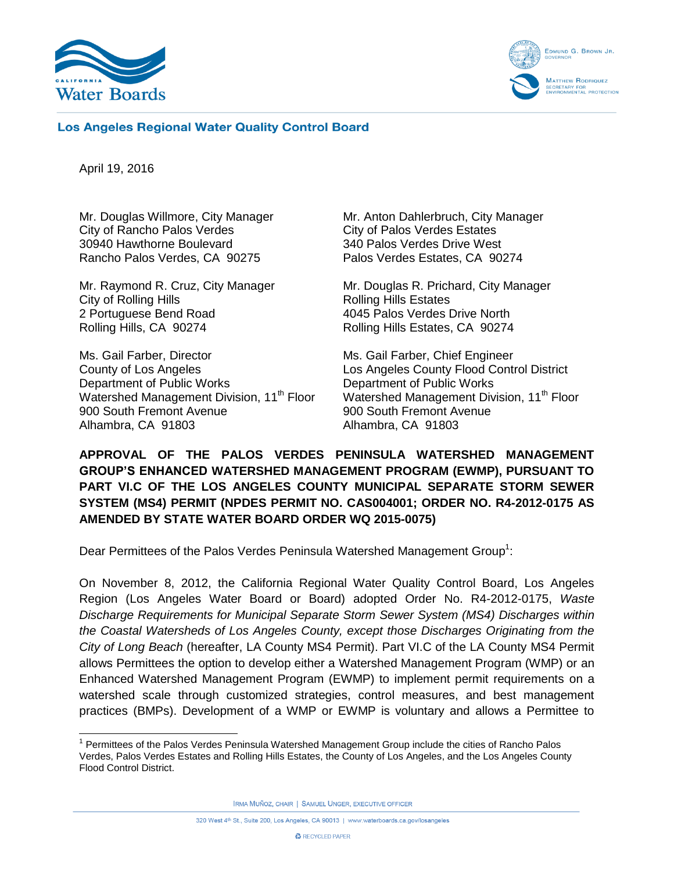



#### **Los Angeles Regional Water Quality Control Board**

April 19, 2016

Mr. Douglas Willmore, City Manager City of Rancho Palos Verdes 30940 Hawthorne Boulevard Rancho Palos Verdes, CA 90275

Mr. Raymond R. Cruz, City Manager City of Rolling Hills 2 Portuguese Bend Road Rolling Hills, CA 90274

Ms. Gail Farber, Director County of Los Angeles Department of Public Works Watershed Management Division, 11<sup>th</sup> Floor 900 South Fremont Avenue Alhambra, CA 91803

Mr. Anton Dahlerbruch, City Manager City of Palos Verdes Estates 340 Palos Verdes Drive West Palos Verdes Estates, CA 90274

Mr. Douglas R. Prichard, City Manager Rolling Hills Estates 4045 Palos Verdes Drive North Rolling Hills Estates, CA 90274

Ms. Gail Farber, Chief Engineer Los Angeles County Flood Control District Department of Public Works Watershed Management Division, 11<sup>th</sup> Floor 900 South Fremont Avenue Alhambra, CA 91803

**APPROVAL OF THE PALOS VERDES PENINSULA WATERSHED MANAGEMENT GROUP'S ENHANCED WATERSHED MANAGEMENT PROGRAM (EWMP), PURSUANT TO PART VI.C OF THE LOS ANGELES COUNTY MUNICIPAL SEPARATE STORM SEWER SYSTEM (MS4) PERMIT (NPDES PERMIT NO. CAS004001; ORDER NO. R4-2012-0175 AS AMENDED BY STATE WATER BOARD ORDER WQ 2015-0075)**

Dear Permittees of the Palos Verdes Peninsula Watershed Management Group<sup>1</sup>:

On November 8, 2012, the California Regional Water Quality Control Board, Los Angeles Region (Los Angeles Water Board or Board) adopted Order No. R4-2012-0175, *Waste Discharge Requirements for Municipal Separate Storm Sewer System (MS4) Discharges within the Coastal Watersheds of Los Angeles County, except those Discharges Originating from the City of Long Beach* (hereafter, LA County MS4 Permit). Part VI.C of the LA County MS4 Permit allows Permittees the option to develop either a Watershed Management Program (WMP) or an Enhanced Watershed Management Program (EWMP) to implement permit requirements on a watershed scale through customized strategies, control measures, and best management practices (BMPs). Development of a WMP or EWMP is voluntary and allows a Permittee to

IRMA MUÑOZ, CHAIR | SAMUEL UNGER, EXECUTIVE OFFICER

 $\overline{a}$ <sup>1</sup> Permittees of the Palos Verdes Peninsula Watershed Management Group include the cities of Rancho Palos Verdes, Palos Verdes Estates and Rolling Hills Estates, the County of Los Angeles, and the Los Angeles County Flood Control District.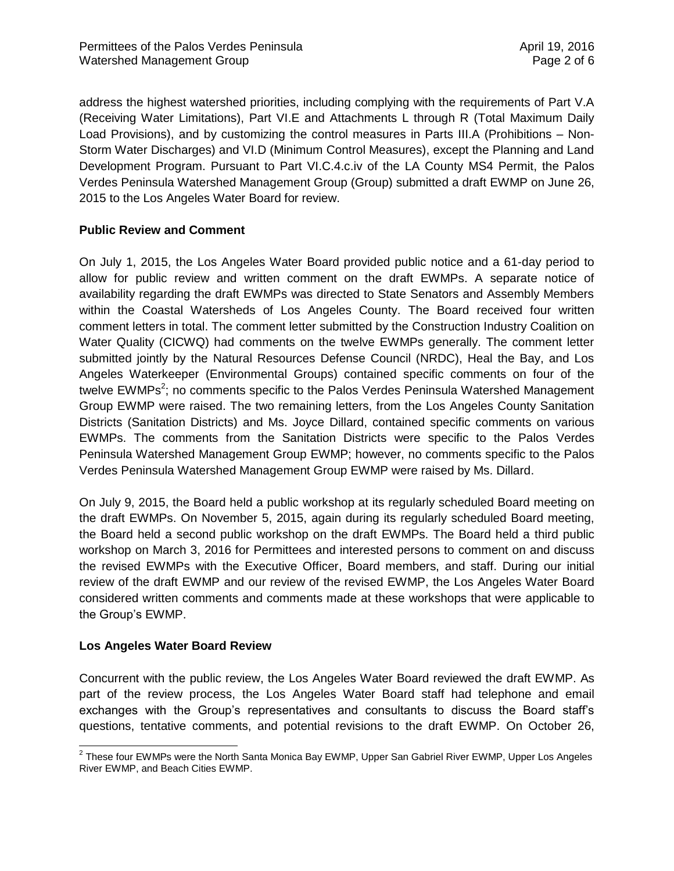address the highest watershed priorities, including complying with the requirements of Part V.A (Receiving Water Limitations), Part VI.E and Attachments L through R (Total Maximum Daily Load Provisions), and by customizing the control measures in Parts III.A (Prohibitions – Non-Storm Water Discharges) and VI.D (Minimum Control Measures), except the Planning and Land Development Program. Pursuant to Part VI.C.4.c.iv of the LA County MS4 Permit, the Palos Verdes Peninsula Watershed Management Group (Group) submitted a draft EWMP on June 26, 2015 to the Los Angeles Water Board for review.

# **Public Review and Comment**

On July 1, 2015, the Los Angeles Water Board provided public notice and a 61-day period to allow for public review and written comment on the draft EWMPs. A separate notice of availability regarding the draft EWMPs was directed to State Senators and Assembly Members within the Coastal Watersheds of Los Angeles County. The Board received four written comment letters in total. The comment letter submitted by the Construction Industry Coalition on Water Quality (CICWQ) had comments on the twelve EWMPs generally. The comment letter submitted jointly by the Natural Resources Defense Council (NRDC), Heal the Bay, and Los Angeles Waterkeeper (Environmental Groups) contained specific comments on four of the twelve EWMPs<sup>2</sup>; no comments specific to the Palos Verdes Peninsula Watershed Management Group EWMP were raised. The two remaining letters, from the Los Angeles County Sanitation Districts (Sanitation Districts) and Ms. Joyce Dillard, contained specific comments on various EWMPs. The comments from the Sanitation Districts were specific to the Palos Verdes Peninsula Watershed Management Group EWMP; however, no comments specific to the Palos Verdes Peninsula Watershed Management Group EWMP were raised by Ms. Dillard.

On July 9, 2015, the Board held a public workshop at its regularly scheduled Board meeting on the draft EWMPs. On November 5, 2015, again during its regularly scheduled Board meeting, the Board held a second public workshop on the draft EWMPs. The Board held a third public workshop on March 3, 2016 for Permittees and interested persons to comment on and discuss the revised EWMPs with the Executive Officer, Board members, and staff. During our initial review of the draft EWMP and our review of the revised EWMP, the Los Angeles Water Board considered written comments and comments made at these workshops that were applicable to the Group's EWMP.

#### **Los Angeles Water Board Review**

Concurrent with the public review, the Los Angeles Water Board reviewed the draft EWMP. As part of the review process, the Los Angeles Water Board staff had telephone and email exchanges with the Group's representatives and consultants to discuss the Board staff's questions, tentative comments, and potential revisions to the draft EWMP. On October 26,

<sup>————————————————————&</sup>lt;br><sup>2</sup> These four EWMPs were the North Santa Monica Bay EWMP, Upper San Gabriel River EWMP, Upper Los Angeles River EWMP, and Beach Cities EWMP.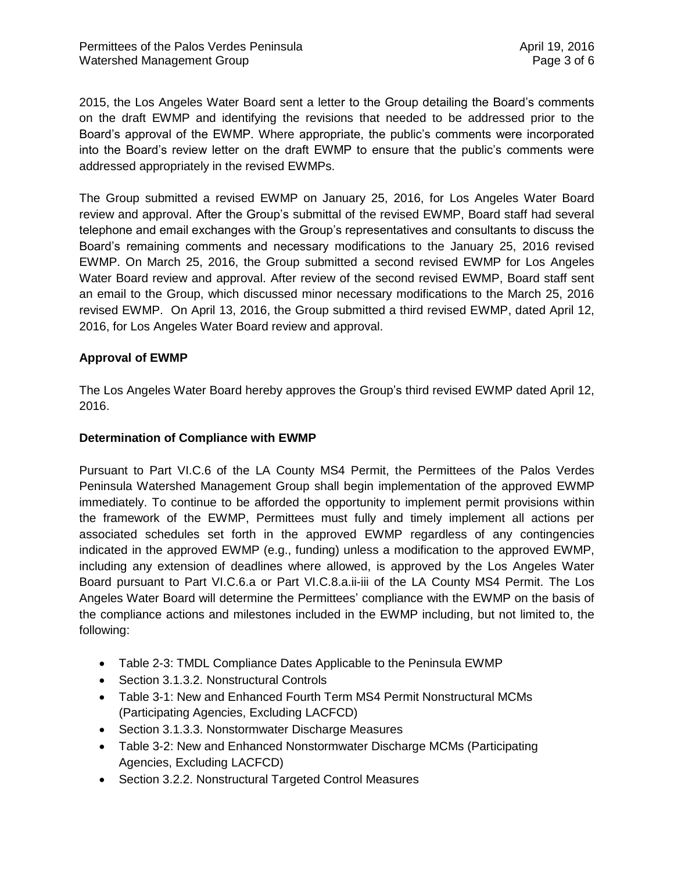2015, the Los Angeles Water Board sent a letter to the Group detailing the Board's comments on the draft EWMP and identifying the revisions that needed to be addressed prior to the Board's approval of the EWMP. Where appropriate, the public's comments were incorporated into the Board's review letter on the draft EWMP to ensure that the public's comments were addressed appropriately in the revised EWMPs.

The Group submitted a revised EWMP on January 25, 2016, for Los Angeles Water Board review and approval. After the Group's submittal of the revised EWMP, Board staff had several telephone and email exchanges with the Group's representatives and consultants to discuss the Board's remaining comments and necessary modifications to the January 25, 2016 revised EWMP. On March 25, 2016, the Group submitted a second revised EWMP for Los Angeles Water Board review and approval. After review of the second revised EWMP, Board staff sent an email to the Group, which discussed minor necessary modifications to the March 25, 2016 revised EWMP. On April 13, 2016, the Group submitted a third revised EWMP, dated April 12, 2016, for Los Angeles Water Board review and approval.

# **Approval of EWMP**

The Los Angeles Water Board hereby approves the Group's third revised EWMP dated April 12, 2016.

### **Determination of Compliance with EWMP**

Pursuant to Part VI.C.6 of the LA County MS4 Permit, the Permittees of the Palos Verdes Peninsula Watershed Management Group shall begin implementation of the approved EWMP immediately. To continue to be afforded the opportunity to implement permit provisions within the framework of the EWMP, Permittees must fully and timely implement all actions per associated schedules set forth in the approved EWMP regardless of any contingencies indicated in the approved EWMP (e.g., funding) unless a modification to the approved EWMP, including any extension of deadlines where allowed, is approved by the Los Angeles Water Board pursuant to Part VI.C.6.a or Part VI.C.8.a.ii-iii of the LA County MS4 Permit. The Los Angeles Water Board will determine the Permittees' compliance with the EWMP on the basis of the compliance actions and milestones included in the EWMP including, but not limited to, the following:

- Table 2-3: TMDL Compliance Dates Applicable to the Peninsula EWMP
- Section 3.1.3.2. Nonstructural Controls
- Table 3-1: New and Enhanced Fourth Term MS4 Permit Nonstructural MCMs (Participating Agencies, Excluding LACFCD)
- Section 3.1.3.3. Nonstormwater Discharge Measures
- Table 3-2: New and Enhanced Nonstormwater Discharge MCMs (Participating Agencies, Excluding LACFCD)
- Section 3.2.2. Nonstructural Targeted Control Measures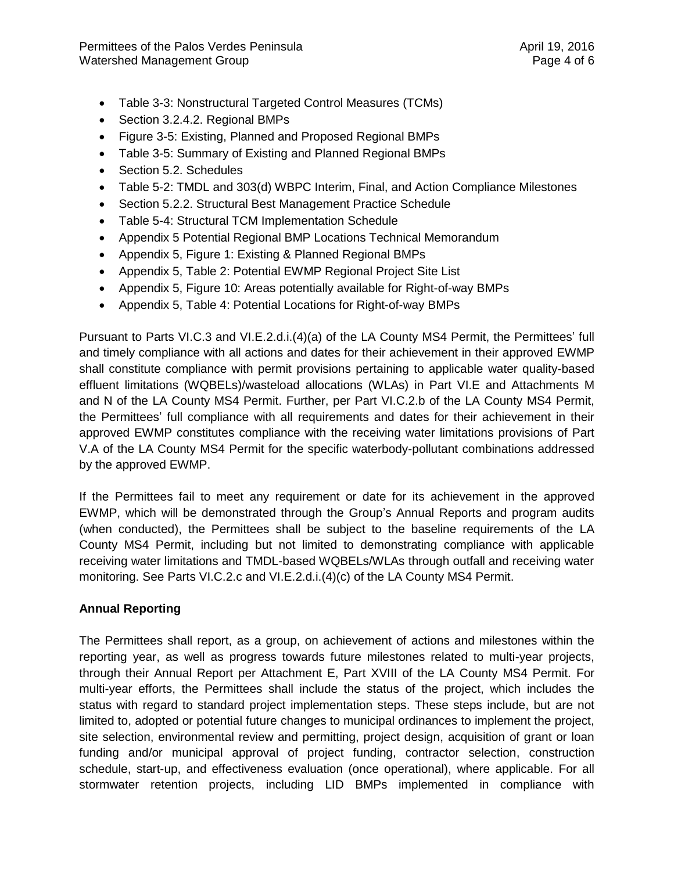- Table 3-3: Nonstructural Targeted Control Measures (TCMs)
- Section 3.2.4.2. Regional BMPs
- Figure 3-5: Existing, Planned and Proposed Regional BMPs
- Table 3-5: Summary of Existing and Planned Regional BMPs
- Section 5.2. Schedules
- Table 5-2: TMDL and 303(d) WBPC Interim, Final, and Action Compliance Milestones
- Section 5.2.2. Structural Best Management Practice Schedule
- Table 5-4: Structural TCM Implementation Schedule
- Appendix 5 Potential Regional BMP Locations Technical Memorandum
- Appendix 5, Figure 1: Existing & Planned Regional BMPs
- Appendix 5, Table 2: Potential EWMP Regional Project Site List
- Appendix 5, Figure 10: Areas potentially available for Right-of-way BMPs
- Appendix 5, Table 4: Potential Locations for Right-of-way BMPs

Pursuant to Parts VI.C.3 and VI.E.2.d.i.(4)(a) of the LA County MS4 Permit, the Permittees' full and timely compliance with all actions and dates for their achievement in their approved EWMP shall constitute compliance with permit provisions pertaining to applicable water quality-based effluent limitations (WQBELs)/wasteload allocations (WLAs) in Part VI.E and Attachments M and N of the LA County MS4 Permit. Further, per Part VI.C.2.b of the LA County MS4 Permit, the Permittees' full compliance with all requirements and dates for their achievement in their approved EWMP constitutes compliance with the receiving water limitations provisions of Part V.A of the LA County MS4 Permit for the specific waterbody-pollutant combinations addressed by the approved EWMP.

If the Permittees fail to meet any requirement or date for its achievement in the approved EWMP, which will be demonstrated through the Group's Annual Reports and program audits (when conducted), the Permittees shall be subject to the baseline requirements of the LA County MS4 Permit, including but not limited to demonstrating compliance with applicable receiving water limitations and TMDL-based WQBELs/WLAs through outfall and receiving water monitoring. See Parts VI.C.2.c and VI.E.2.d.i.(4)(c) of the LA County MS4 Permit.

# **Annual Reporting**

The Permittees shall report, as a group, on achievement of actions and milestones within the reporting year, as well as progress towards future milestones related to multi-year projects, through their Annual Report per Attachment E, Part XVIII of the LA County MS4 Permit. For multi-year efforts, the Permittees shall include the status of the project, which includes the status with regard to standard project implementation steps. These steps include, but are not limited to, adopted or potential future changes to municipal ordinances to implement the project, site selection, environmental review and permitting, project design, acquisition of grant or loan funding and/or municipal approval of project funding, contractor selection, construction schedule, start-up, and effectiveness evaluation (once operational), where applicable. For all stormwater retention projects, including LID BMPs implemented in compliance with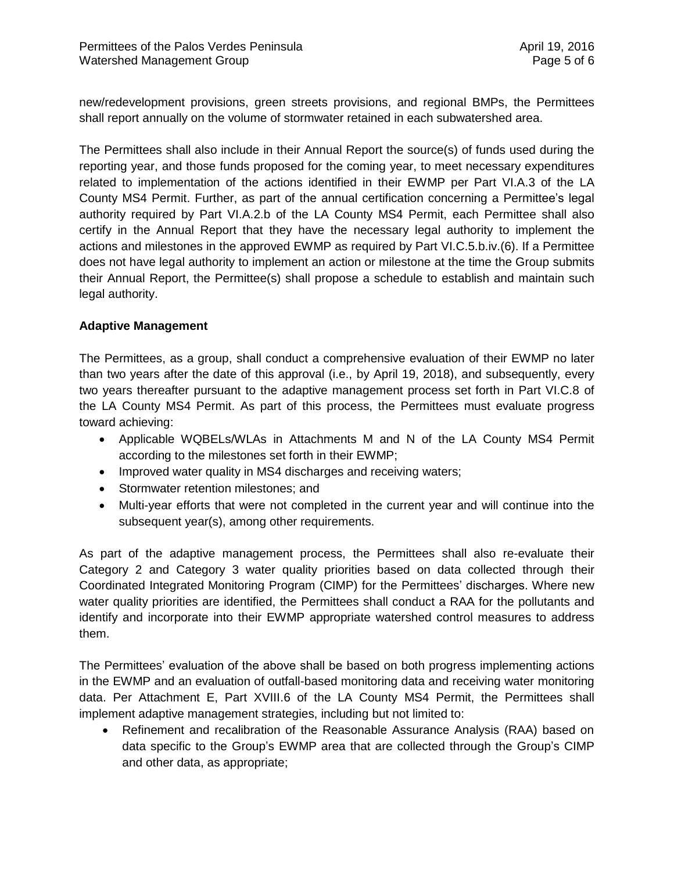new/redevelopment provisions, green streets provisions, and regional BMPs, the Permittees shall report annually on the volume of stormwater retained in each subwatershed area.

The Permittees shall also include in their Annual Report the source(s) of funds used during the reporting year, and those funds proposed for the coming year, to meet necessary expenditures related to implementation of the actions identified in their EWMP per Part VI.A.3 of the LA County MS4 Permit. Further, as part of the annual certification concerning a Permittee's legal authority required by Part VI.A.2.b of the LA County MS4 Permit, each Permittee shall also certify in the Annual Report that they have the necessary legal authority to implement the actions and milestones in the approved EWMP as required by Part VI.C.5.b.iv.(6). If a Permittee does not have legal authority to implement an action or milestone at the time the Group submits their Annual Report, the Permittee(s) shall propose a schedule to establish and maintain such legal authority.

#### **Adaptive Management**

The Permittees, as a group, shall conduct a comprehensive evaluation of their EWMP no later than two years after the date of this approval (i.e., by April 19, 2018), and subsequently, every two years thereafter pursuant to the adaptive management process set forth in Part VI.C.8 of the LA County MS4 Permit. As part of this process, the Permittees must evaluate progress toward achieving:

- Applicable WQBELs/WLAs in Attachments M and N of the LA County MS4 Permit according to the milestones set forth in their EWMP;
- Improved water quality in MS4 discharges and receiving waters;
- Stormwater retention milestones; and
- Multi-year efforts that were not completed in the current year and will continue into the subsequent year(s), among other requirements.

As part of the adaptive management process, the Permittees shall also re-evaluate their Category 2 and Category 3 water quality priorities based on data collected through their Coordinated Integrated Monitoring Program (CIMP) for the Permittees' discharges. Where new water quality priorities are identified, the Permittees shall conduct a RAA for the pollutants and identify and incorporate into their EWMP appropriate watershed control measures to address them.

The Permittees' evaluation of the above shall be based on both progress implementing actions in the EWMP and an evaluation of outfall-based monitoring data and receiving water monitoring data. Per Attachment E, Part XVIII.6 of the LA County MS4 Permit, the Permittees shall implement adaptive management strategies, including but not limited to:

 Refinement and recalibration of the Reasonable Assurance Analysis (RAA) based on data specific to the Group's EWMP area that are collected through the Group's CIMP and other data, as appropriate;